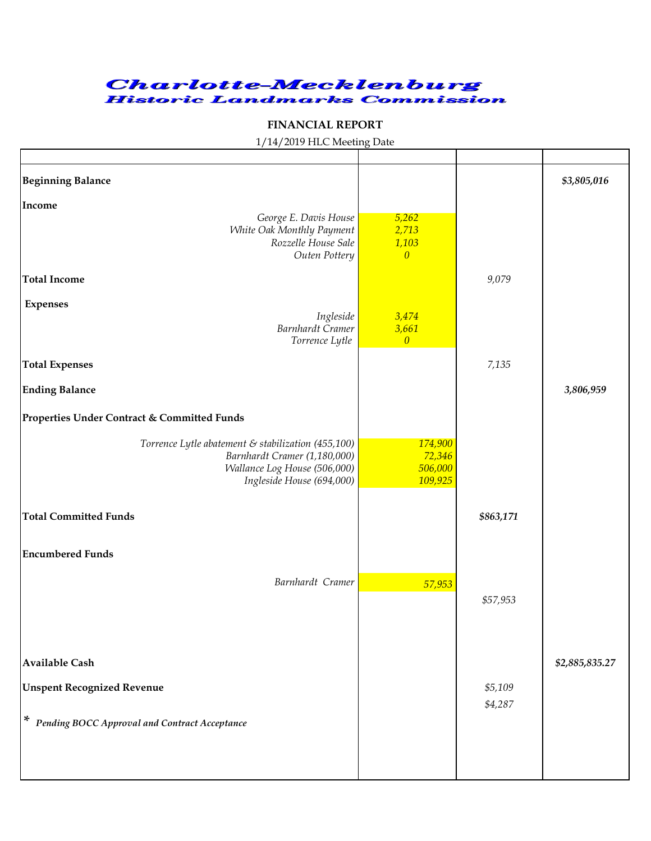

## **FINANCIAL REPORT**

## 1/14/2019 HLC Meeting Date

| <b>Beginning Balance</b>                                                                                                                                    |                                           |                    | \$3,805,016    |
|-------------------------------------------------------------------------------------------------------------------------------------------------------------|-------------------------------------------|--------------------|----------------|
| Income<br>George E. Davis House<br>White Oak Monthly Payment<br>Rozzelle House Sale<br>Outen Pottery                                                        | 5,262<br>2,713<br>1,103<br>$\overline{0}$ |                    |                |
| <b>Total Income</b>                                                                                                                                         |                                           | 9,079              |                |
| <b>Expenses</b><br>Ingleside<br><b>Barnhardt Cramer</b><br>Torrence Lytle                                                                                   | 3,474<br>3,661<br>$\overline{0}$          |                    |                |
| <b>Total Expenses</b>                                                                                                                                       |                                           | 7,135              |                |
| <b>Ending Balance</b>                                                                                                                                       |                                           |                    | 3,806,959      |
| Properties Under Contract & Committed Funds                                                                                                                 |                                           |                    |                |
| Torrence Lytle abatement $\varepsilon$ stabilization (455,100)<br>Barnhardt Cramer (1,180,000)<br>Wallance Log House (506,000)<br>Ingleside House (694,000) | 174,900<br>72,346<br>506,000<br>109,925   |                    |                |
| <b>Total Committed Funds</b>                                                                                                                                |                                           | \$863,171          |                |
| <b>Encumbered Funds</b>                                                                                                                                     |                                           |                    |                |
| Barnhardt Cramer                                                                                                                                            | 57,953                                    | \$57,953           |                |
| <b>Available Cash</b>                                                                                                                                       |                                           |                    | \$2,885,835.27 |
| <b>Unspent Recognized Revenue</b>                                                                                                                           |                                           | \$5,109<br>\$4,287 |                |
| * Pending BOCC Approval and Contract Acceptance                                                                                                             |                                           |                    |                |
|                                                                                                                                                             |                                           |                    |                |